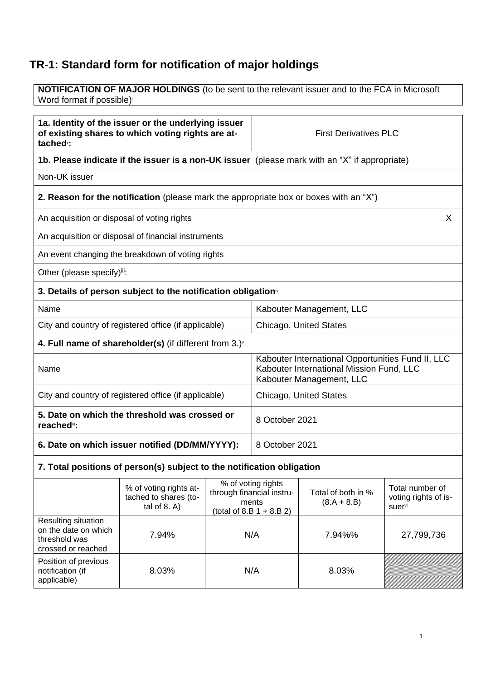# **TR-1: Standard form for notification of major holdings**

**NOTIFICATION OF MAJOR HOLDINGS** (to be sent to the relevant issuer and to the FCA in Microsoft Word format if possible)

| 1a. Identity of the issuer or the underlying issuer<br>of existing shares to which voting rights are at-<br>tached <sup>"</sup> : | <b>First Derivatives PLC</b> |   |
|-----------------------------------------------------------------------------------------------------------------------------------|------------------------------|---|
| 1b. Please indicate if the issuer is a non-UK issuer (please mark with an "X" if appropriate)                                     |                              |   |
| Non-UK issuer                                                                                                                     |                              |   |
| <b>2. Reason for the notification</b> (please mark the appropriate box or boxes with an "X")                                      |                              |   |
| An acquisition or disposal of voting rights                                                                                       |                              | X |
| An acquisition or disposal of financial instruments                                                                               |                              |   |
| An event changing the breakdown of voting rights                                                                                  |                              |   |
| Other (please specify)iii:                                                                                                        |                              |   |
| 3. Details of person subject to the notification obligation <sup>®</sup>                                                          |                              |   |
| Name                                                                                                                              | Kabouter Management, LLC     |   |
| City and country of registered office (if applicable)                                                                             | Chicago, United States       |   |
| 4. Full name of shareholder(s) (if different from 3.) $\check{ }$                                                                 |                              |   |
| Kabouter International Opportunities Fund II, LLC<br>Kabouter International Mission Fund, LLC<br>Name<br>Kabouter Management, LLC |                              |   |
| City and country of registered office (if applicable)                                                                             | Chicago, United States       |   |
| 5. Date on which the threshold was crossed or<br>reached <sup>vi</sup> :                                                          | 8 October 2021               |   |
| 6. Date on which issuer notified (DD/MM/YYYY):<br>8 October 2021                                                                  |                              |   |
| 7. Total positions of person(s) subject to the notification obligation                                                            |                              |   |

|                                                                                    | % of voting rights at-<br>tached to shares (to-<br>tal of $8. A$ ) | % of voting rights<br>through financial instru-<br>ments<br>(total of 8.B $1 + 8.B 2$ ) | Total of both in %<br>$(8.A + 8.B)$ | Total number of<br>voting rights of is-<br>suer <sup>vii</sup> |
|------------------------------------------------------------------------------------|--------------------------------------------------------------------|-----------------------------------------------------------------------------------------|-------------------------------------|----------------------------------------------------------------|
| Resulting situation<br>on the date on which<br>threshold was<br>crossed or reached | 7.94%                                                              | N/A                                                                                     | 7.94%%                              | 27,799,736                                                     |
| Position of previous<br>notification (if<br>applicable)                            | 8.03%                                                              | N/A                                                                                     | 8.03%                               |                                                                |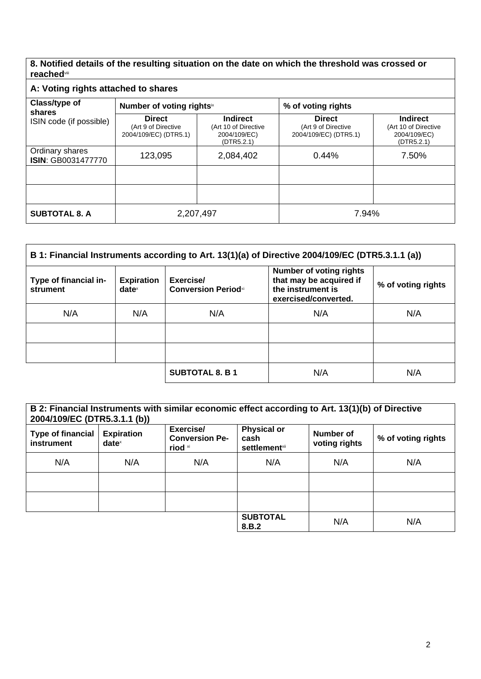**8. Notified details of the resulting situation on the date on which the threshold was crossed or reached**viii

## **A: Voting rights attached to shares**

| $A: VOMQ \cup Q \cup Q \cup Q \cup Q \cup Q \cup Q \cup Q \cup Q$ |                                                               |                                                                       |                                                               |                                                                       |
|-------------------------------------------------------------------|---------------------------------------------------------------|-----------------------------------------------------------------------|---------------------------------------------------------------|-----------------------------------------------------------------------|
| Class/type of<br>shares                                           | Number of voting rightsix                                     |                                                                       | % of voting rights                                            |                                                                       |
| ISIN code (if possible)                                           | <b>Direct</b><br>(Art 9 of Directive<br>2004/109/EC) (DTR5.1) | <b>Indirect</b><br>(Art 10 of Directive<br>2004/109/EC)<br>(DTR5.2.1) | <b>Direct</b><br>(Art 9 of Directive<br>2004/109/EC) (DTR5.1) | <b>Indirect</b><br>(Art 10 of Directive<br>2004/109/EC)<br>(DTR5.2.1) |
| Ordinary shares<br><b>ISIN: GB0031477770</b>                      | 123,095                                                       | 2,084,402                                                             | 0.44%                                                         | 7.50%                                                                 |
|                                                                   |                                                               |                                                                       |                                                               |                                                                       |
|                                                                   |                                                               |                                                                       |                                                               |                                                                       |
| <b>SUBTOTAL 8. A</b>                                              | 2,207,497                                                     |                                                                       | 7.94%                                                         |                                                                       |

| B 1: Financial Instruments according to Art. 13(1)(a) of Directive 2004/109/EC (DTR5.3.1.1 (a)) |                               |                                         |                                                                                                        |                    |
|-------------------------------------------------------------------------------------------------|-------------------------------|-----------------------------------------|--------------------------------------------------------------------------------------------------------|--------------------|
| Type of financial in-<br>strument                                                               | <b>Expiration</b><br>$date^x$ | Exercise/<br><b>Conversion Periodxi</b> | <b>Number of voting rights</b><br>that may be acquired if<br>the instrument is<br>exercised/converted. | % of voting rights |
| N/A                                                                                             | N/A                           | N/A                                     | N/A                                                                                                    | N/A                |
|                                                                                                 |                               |                                         |                                                                                                        |                    |
|                                                                                                 |                               |                                         |                                                                                                        |                    |
|                                                                                                 |                               | <b>SUBTOTAL 8. B 1</b>                  | N/A                                                                                                    | N/A                |

| B 2: Financial Instruments with similar economic effect according to Art. 13(1)(b) of Directive<br>2004/109/EC (DTR5.3.1.1 (b)) |                                        |                                               |                                                     |                            |                    |
|---------------------------------------------------------------------------------------------------------------------------------|----------------------------------------|-----------------------------------------------|-----------------------------------------------------|----------------------------|--------------------|
| <b>Type of financial</b><br>instrument                                                                                          | <b>Expiration</b><br>date <sup>x</sup> | Exercise/<br><b>Conversion Pe-</b><br>riod xi | <b>Physical or</b><br>cash<br><b>settlement</b> xii | Number of<br>voting rights | % of voting rights |
| N/A                                                                                                                             | N/A                                    | N/A                                           | N/A                                                 | N/A                        | N/A                |
|                                                                                                                                 |                                        |                                               |                                                     |                            |                    |
|                                                                                                                                 |                                        |                                               |                                                     |                            |                    |
|                                                                                                                                 |                                        |                                               | <b>SUBTOTAL</b><br>8.B.2                            | N/A                        | N/A                |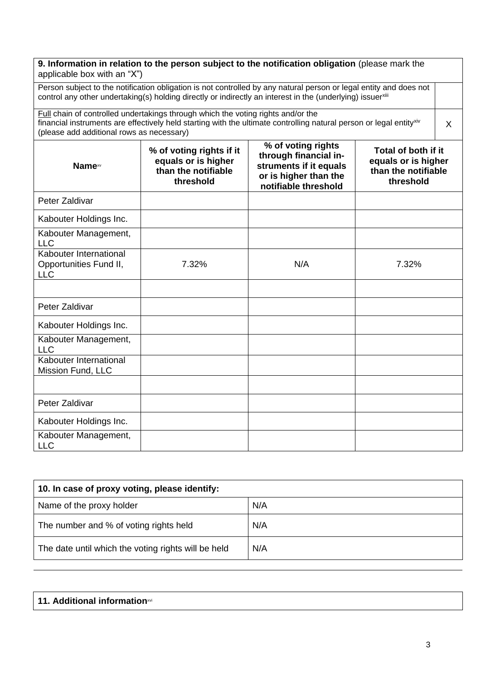### **9. Information in relation to the person subject to the notification obligation** (please mark the applicable box with an "X")

Person subject to the notification obligation is not controlled by any natural person or legal entity and does not control any other undertaking(s) holding directly or indirectly an interest in the (underlying) issuerxiii

Full chain of controlled undertakings through which the voting rights and/or the financial instruments are effectively held starting with the ultimate controlling natural person or legal entityxiv (please add additional rows as necessary)

| Namexv                                                         | % of voting rights if it<br>equals or is higher<br>than the notifiable<br>threshold | % of voting rights<br>through financial in-<br>struments if it equals<br>or is higher than the<br>notifiable threshold | Total of both if it<br>equals or is higher<br>than the notifiable<br>threshold |
|----------------------------------------------------------------|-------------------------------------------------------------------------------------|------------------------------------------------------------------------------------------------------------------------|--------------------------------------------------------------------------------|
| Peter Zaldivar                                                 |                                                                                     |                                                                                                                        |                                                                                |
| Kabouter Holdings Inc.                                         |                                                                                     |                                                                                                                        |                                                                                |
| Kabouter Management,<br><b>LLC</b>                             |                                                                                     |                                                                                                                        |                                                                                |
| Kabouter International<br>Opportunities Fund II,<br><b>LLC</b> | 7.32%                                                                               | N/A                                                                                                                    | 7.32%                                                                          |
|                                                                |                                                                                     |                                                                                                                        |                                                                                |
| Peter Zaldivar                                                 |                                                                                     |                                                                                                                        |                                                                                |
| Kabouter Holdings Inc.                                         |                                                                                     |                                                                                                                        |                                                                                |
| Kabouter Management,<br><b>LLC</b>                             |                                                                                     |                                                                                                                        |                                                                                |
| Kabouter International<br>Mission Fund, LLC                    |                                                                                     |                                                                                                                        |                                                                                |
|                                                                |                                                                                     |                                                                                                                        |                                                                                |
| Peter Zaldivar                                                 |                                                                                     |                                                                                                                        |                                                                                |
| Kabouter Holdings Inc.                                         |                                                                                     |                                                                                                                        |                                                                                |
| Kabouter Management,<br><b>LLC</b>                             |                                                                                     |                                                                                                                        |                                                                                |

| 10. In case of proxy voting, please identify:       |     |  |
|-----------------------------------------------------|-----|--|
| Name of the proxy holder                            | N/A |  |
| The number and % of voting rights held              | N/A |  |
| The date until which the voting rights will be held | N/A |  |

#### **11. Additional information**xvi

X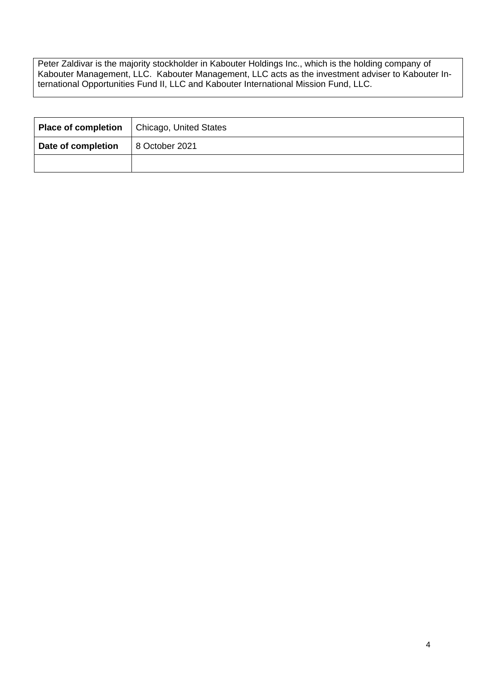Peter Zaldivar is the majority stockholder in Kabouter Holdings Inc., which is the holding company of Kabouter Management, LLC. Kabouter Management, LLC acts as the investment adviser to Kabouter International Opportunities Fund II, LLC and Kabouter International Mission Fund, LLC.

|                    | <b>Place of completion</b>   Chicago, United States |
|--------------------|-----------------------------------------------------|
| Date of completion | 8 October 2021                                      |
|                    |                                                     |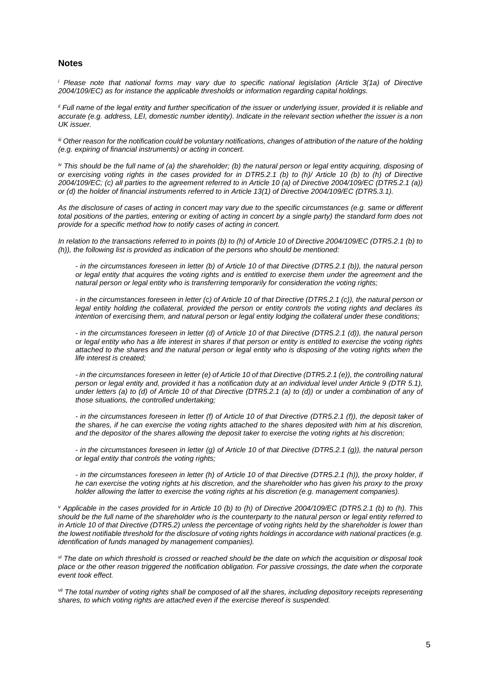#### **Notes**

*i* Please note that national forms may vary due to specific national legislation (Article 3(1a) of Directive *2004/109/EC) as for instance the applicable thresholds or information regarding capital holdings.*

*ii Full name of the legal entity and further specification of the issuer or underlying issuer, provided it is reliable and accurate (e.g. address, LEI, domestic number identity). Indicate in the relevant section whether the issuer is a non UK issuer.*

*iii Other reason for the notification could be voluntary notifications, changes of attribution of the nature of the holding (e.g. expiring of financial instruments) or acting in concert.*

*iv This should be the full name of (a) the shareholder; (b) the natural person or legal entity acquiring, disposing of or exercising voting rights in the cases provided for in DTR5.2.1 (b) to (h)/ Article 10 (b) to (h) of Directive 2004/109/EC; (c) all parties to the agreement referred to in Article 10 (a) of Directive 2004/109/EC (DTR5.2.1 (a)) or (d) the holder of financial instruments referred to in Article 13(1) of Directive 2004/109/EC (DTR5.3.1).*

*As the disclosure of cases of acting in concert may vary due to the specific circumstances (e.g. same or different*  total positions of the parties, entering or exiting of acting in concert by a single party) the standard form does not *provide for a specific method how to notify cases of acting in concert.*

*In relation to the transactions referred to in points (b) to (h) of Article 10 of Directive 2004/109/EC (DTR5.2.1 (b) to (h)), the following list is provided as indication of the persons who should be mentioned:*

*- in the circumstances foreseen in letter (b) of Article 10 of that Directive (DTR5.2.1 (b)), the natural person or legal entity that acquires the voting rights and is entitled to exercise them under the agreement and the natural person or legal entity who is transferring temporarily for consideration the voting rights;*

*- in the circumstances foreseen in letter (c) of Article 10 of that Directive (DTR5.2.1 (c)), the natural person or legal entity holding the collateral, provided the person or entity controls the voting rights and declares its intention of exercising them, and natural person or legal entity lodging the collateral under these conditions;*

*- in the circumstances foreseen in letter (d) of Article 10 of that Directive (DTR5.2.1 (d)), the natural person or legal entity who has a life interest in shares if that person or entity is entitled to exercise the voting rights attached to the shares and the natural person or legal entity who is disposing of the voting rights when the life interest is created;*

*- in the circumstances foreseen in letter (e) of Article 10 of that Directive (DTR5.2.1 (e)), the controlling natural person or legal entity and, provided it has a notification duty at an individual level under Article 9 (DTR 5.1), under letters (a) to (d) of Article 10 of that Directive (DTR5.2.1 (a) to (d)) or under a combination of any of those situations, the controlled undertaking;*

*- in the circumstances foreseen in letter (f) of Article 10 of that Directive (DTR5.2.1 (f)), the deposit taker of the shares, if he can exercise the voting rights attached to the shares deposited with him at his discretion, and the depositor of the shares allowing the deposit taker to exercise the voting rights at his discretion;*

*- in the circumstances foreseen in letter (g) of Article 10 of that Directive (DTR5.2.1 (g)), the natural person or legal entity that controls the voting rights;*

*- in the circumstances foreseen in letter (h) of Article 10 of that Directive (DTR5.2.1 (h)), the proxy holder, if he can exercise the voting rights at his discretion, and the shareholder who has given his proxy to the proxy holder allowing the latter to exercise the voting rights at his discretion (e.g. management companies).*

*<sup>v</sup> Applicable in the cases provided for in Article 10 (b) to (h) of Directive 2004/109/EC (DTR5.2.1 (b) to (h). This should be the full name of the shareholder who is the counterparty to the natural person or legal entity referred to in Article 10 of that Directive (DTR5.2) unless the percentage of voting rights held by the shareholder is lower than the lowest notifiable threshold for the disclosure of voting rights holdings in accordance with national practices (e.g. identification of funds managed by management companies).*

*vi The date on which threshold is crossed or reached should be the date on which the acquisition or disposal took place or the other reason triggered the notification obligation. For passive crossings, the date when the corporate event took effect.*

*vii The total number of voting rights shall be composed of all the shares, including depository receipts representing shares, to which voting rights are attached even if the exercise thereof is suspended.*